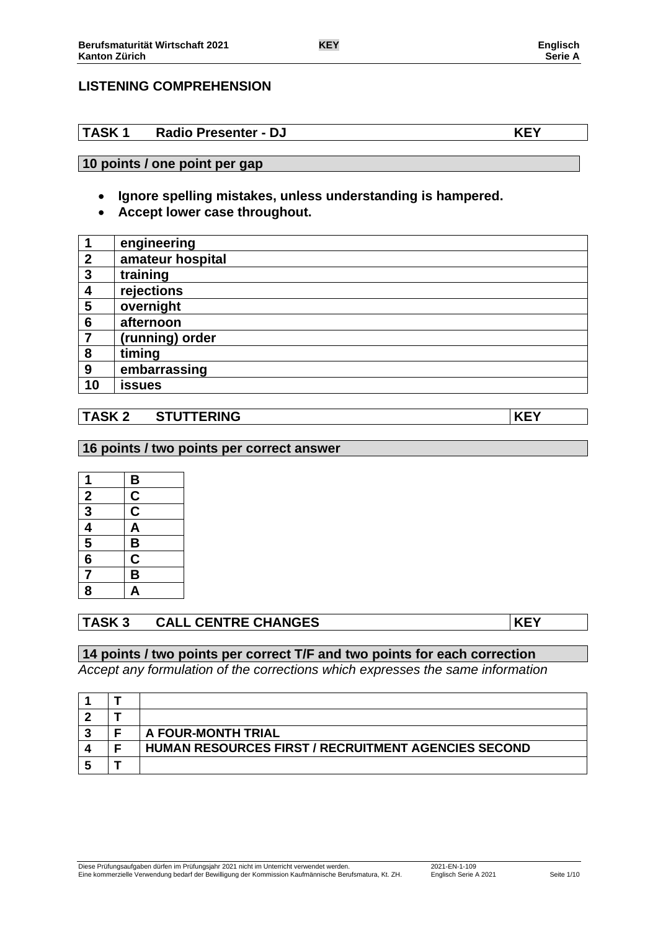# **LISTENING COMPREHENSION**

# **TASK 1 Radio Presenter - DJ KEY**

# **10 points / one point per gap**

- **Ignore spelling mistakes, unless understanding is hampered.**
- **Accept lower case throughout.**

|                  | engineering      |
|------------------|------------------|
| $\boldsymbol{2}$ | amateur hospital |
| 3                | training         |
| 4                | rejections       |
| 5                | overnight        |
| 6                | afternoon        |
| 7                | (running) order  |
| 8                | timing           |
| 9                | embarrassing     |
| 10               | issues           |

## **TASK 2 STUTTERING KEY**

### **16 points / two points per correct answer**

| 1                                                                     |                                                |
|-----------------------------------------------------------------------|------------------------------------------------|
|                                                                       |                                                |
|                                                                       | $rac{B}{C}$                                    |
|                                                                       |                                                |
| $\frac{2}{3}$ $\frac{3}{4}$ $\frac{4}{5}$ $\frac{6}{6}$ $\frac{7}{7}$ | $\overline{AB}$ $\overline{BC}$ $\overline{B}$ |
|                                                                       |                                                |
|                                                                       |                                                |
| $\overline{\mathbf{8}}$                                               | A                                              |

# **TASK 3 CALL CENTRE CHANGES KEY**

## **14 points / two points per correct T/F and two points for each correction**

*Accept any formulation of the corrections which expresses the same information*

|  | A FOUR-MONTH TRIAL                                         |
|--|------------------------------------------------------------|
|  | <b>HUMAN RESOURCES FIRST / RECRUITMENT AGENCIES SECOND</b> |
|  |                                                            |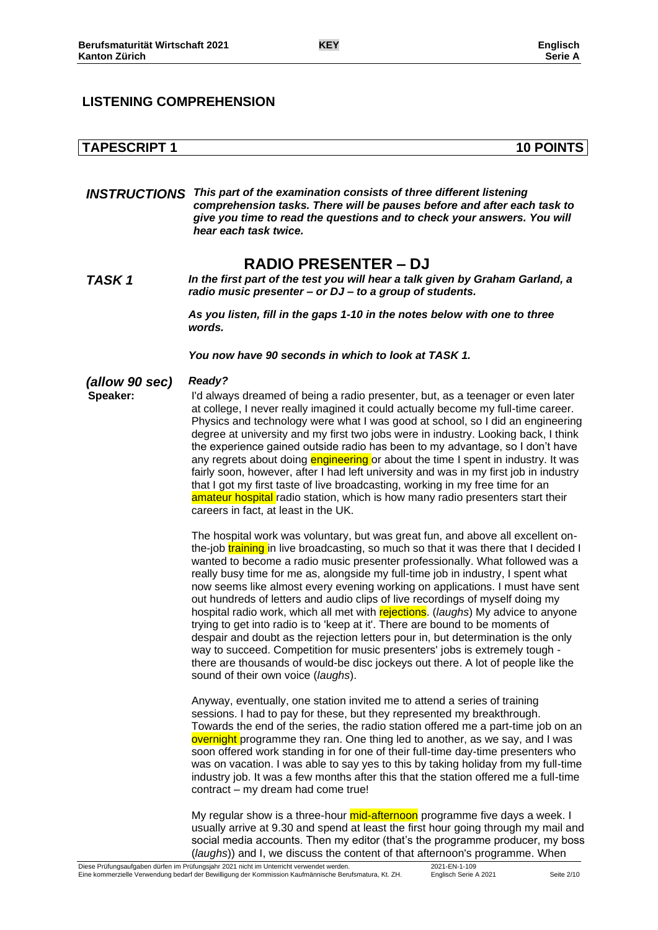## **LISTENING COMPREHENSION**

| <b>TAPESCRIPT 1</b> | <b>10 POINTS</b> |
|---------------------|------------------|

*INSTRUCTIONS This part of the examination consists of three different listening comprehension tasks. There will be pauses before and after each task to give you time to read the questions and to check your answers. You will hear each task twice.*

# **RADIO PRESENTER – DJ**

*TASK 1 In the first part of the test you will hear a talk given by Graham Garland, a radio music presenter – or DJ – to a group of students.*

> *As you listen, fill in the gaps 1-10 in the notes below with one to three words.*

*You now have 90 seconds in which to look at TASK 1.*

*(allow 90 sec) Ready?*

**Speaker:** I'd always dreamed of being a radio presenter, but, as a teenager or even later at college, I never really imagined it could actually become my full-time career. Physics and technology were what I was good at school, so I did an engineering degree at university and my first two jobs were in industry. Looking back, I think the experience gained outside radio has been to my advantage, so I don't have any regrets about doing engineering or about the time I spent in industry. It was fairly soon, however, after I had left university and was in my first job in industry that I got my first taste of live broadcasting, working in my free time for an amateur hospital radio station, which is how many radio presenters start their careers in fact, at least in the UK.

> The hospital work was voluntary, but was great fun, and above all excellent onthe-job **training** in live broadcasting, so much so that it was there that I decided I wanted to become a radio music presenter professionally. What followed was a really busy time for me as, alongside my full-time job in industry, I spent what now seems like almost every evening working on applications. I must have sent out hundreds of letters and audio clips of live recordings of myself doing my hospital radio work, which all met with rejections. (*laughs*) My advice to anyone trying to get into radio is to 'keep at it'. There are bound to be moments of despair and doubt as the rejection letters pour in, but determination is the only way to succeed. Competition for music presenters' jobs is extremely tough there are thousands of would-be disc jockeys out there. A lot of people like the sound of their own voice (*laughs*).

> Anyway, eventually, one station invited me to attend a series of training sessions. I had to pay for these, but they represented my breakthrough. Towards the end of the series, the radio station offered me a part-time job on an overnight programme they ran. One thing led to another, as we say, and I was soon offered work standing in for one of their full-time day-time presenters who was on vacation. I was able to say yes to this by taking holiday from my full-time industry job. It was a few months after this that the station offered me a full-time contract – my dream had come true!

> My regular show is a three-hour mid-afternoon programme five days a week. I usually arrive at 9.30 and spend at least the first hour going through my mail and social media accounts. Then my editor (that's the programme producer, my boss (*laughs*)) and I, we discuss the content of that afternoon's programme. When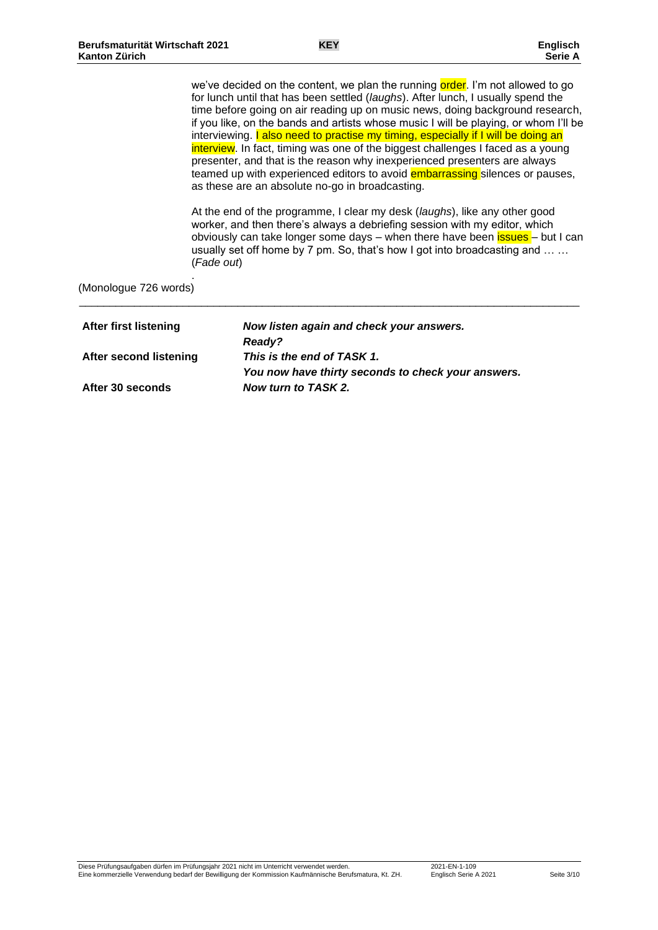we've decided on the content, we plan the running order. I'm not allowed to go for lunch until that has been settled (*laughs*). After lunch, I usually spend the time before going on air reading up on music news, doing background research, if you like, on the bands and artists whose music I will be playing, or whom I'll be interviewing. I also need to practise my timing, especially if I will be doing an interview. In fact, timing was one of the biggest challenges I faced as a young presenter, and that is the reason why inexperienced presenters are always teamed up with experienced editors to avoid **embarrassing** silences or pauses, as these are an absolute no-go in broadcasting.

At the end of the programme, I clear my desk (*laughs*), like any other good worker, and then there's always a debriefing session with my editor, which obviously can take longer some days – when there have been **issues** – but I can usually set off home by 7 pm. So, that's how I got into broadcasting and … … (*Fade out*)

(Monologue 726 words)

.

| After first listening  | Now listen again and check your answers.           |
|------------------------|----------------------------------------------------|
|                        | <b>Ready?</b>                                      |
| After second listening | This is the end of TASK 1.                         |
|                        | You now have thirty seconds to check your answers. |
| After 30 seconds       | Now turn to TASK 2.                                |

\_\_\_\_\_\_\_\_\_\_\_\_\_\_\_\_\_\_\_\_\_\_\_\_\_\_\_\_\_\_\_\_\_\_\_\_\_\_\_\_\_\_\_\_\_\_\_\_\_\_\_\_\_\_\_\_\_\_\_\_\_\_\_\_\_\_\_\_\_\_\_\_\_\_\_\_\_\_\_\_\_\_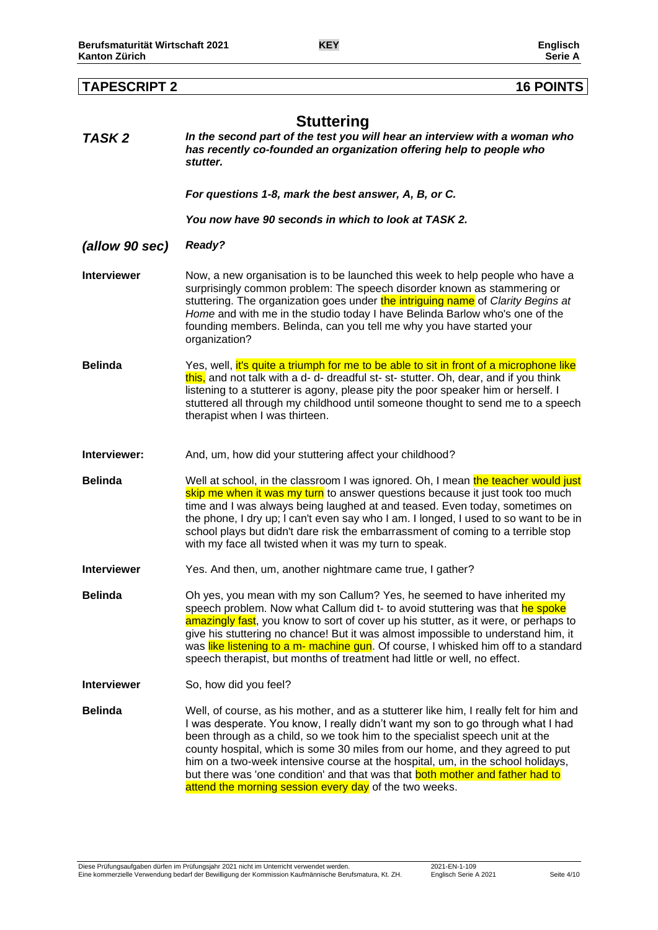| <b>TAPESCRIPT 2</b> | <b>16 POINTS</b>                                                                                                                                                                                                                                                                                                                                                                                                                                                                                                                                                         |
|---------------------|--------------------------------------------------------------------------------------------------------------------------------------------------------------------------------------------------------------------------------------------------------------------------------------------------------------------------------------------------------------------------------------------------------------------------------------------------------------------------------------------------------------------------------------------------------------------------|
| TASK 2              | <b>Stuttering</b><br>In the second part of the test you will hear an interview with a woman who<br>has recently co-founded an organization offering help to people who<br>stutter.                                                                                                                                                                                                                                                                                                                                                                                       |
|                     | For questions 1-8, mark the best answer, A, B, or C.                                                                                                                                                                                                                                                                                                                                                                                                                                                                                                                     |
|                     | You now have 90 seconds in which to look at TASK 2.                                                                                                                                                                                                                                                                                                                                                                                                                                                                                                                      |
| (allow 90 sec)      | Ready?                                                                                                                                                                                                                                                                                                                                                                                                                                                                                                                                                                   |
| <b>Interviewer</b>  | Now, a new organisation is to be launched this week to help people who have a<br>surprisingly common problem: The speech disorder known as stammering or<br>stuttering. The organization goes under the intriguing name of Clarity Begins at<br>Home and with me in the studio today I have Belinda Barlow who's one of the<br>founding members. Belinda, can you tell me why you have started your<br>organization?                                                                                                                                                     |
| <b>Belinda</b>      | Yes, well, it's quite a triumph for me to be able to sit in front of a microphone like<br>this, and not talk with a d- d- dreadful st- st- stutter. Oh, dear, and if you think<br>listening to a stutterer is agony, please pity the poor speaker him or herself. I<br>stuttered all through my childhood until someone thought to send me to a speech<br>therapist when I was thirteen.                                                                                                                                                                                 |
| Interviewer:        | And, um, how did your stuttering affect your childhood?                                                                                                                                                                                                                                                                                                                                                                                                                                                                                                                  |
| <b>Belinda</b>      | Well at school, in the classroom I was ignored. Oh, I mean the teacher would just<br>skip me when it was my turn to answer questions because it just took too much<br>time and I was always being laughed at and teased. Even today, sometimes on<br>the phone, I dry up; I can't even say who I am. I longed, I used to so want to be in<br>school plays but didn't dare risk the embarrassment of coming to a terrible stop<br>with my face all twisted when it was my turn to speak.                                                                                  |
| Interviewer         | Yes. And then, um, another nightmare came true, I gather?                                                                                                                                                                                                                                                                                                                                                                                                                                                                                                                |
| <b>Belinda</b>      | Oh yes, you mean with my son Callum? Yes, he seemed to have inherited my<br>speech problem. Now what Callum did t- to avoid stuttering was that he spoke<br>amazingly fast, you know to sort of cover up his stutter, as it were, or perhaps to<br>give his stuttering no chance! But it was almost impossible to understand him, it<br>was like listening to a m- machine gun. Of course, I whisked him off to a standard<br>speech therapist, but months of treatment had little or well, no effect.                                                                   |
| <b>Interviewer</b>  | So, how did you feel?                                                                                                                                                                                                                                                                                                                                                                                                                                                                                                                                                    |
| <b>Belinda</b>      | Well, of course, as his mother, and as a stutterer like him, I really felt for him and<br>I was desperate. You know, I really didn't want my son to go through what I had<br>been through as a child, so we took him to the specialist speech unit at the<br>county hospital, which is some 30 miles from our home, and they agreed to put<br>him on a two-week intensive course at the hospital, um, in the school holidays,<br>but there was 'one condition' and that was that both mother and father had to<br>attend the morning session every day of the two weeks. |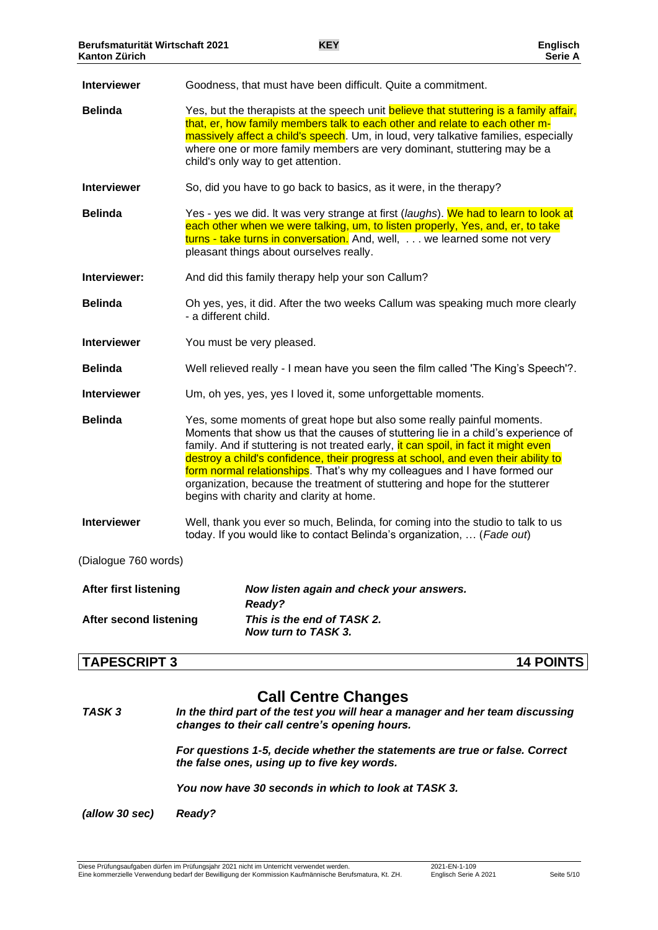| <b>Interviewer</b>            | Goodness, that must have been difficult. Quite a commitment.                                                                                                                                                                                                                                                                                                                                                                                                                                                                                    |
|-------------------------------|-------------------------------------------------------------------------------------------------------------------------------------------------------------------------------------------------------------------------------------------------------------------------------------------------------------------------------------------------------------------------------------------------------------------------------------------------------------------------------------------------------------------------------------------------|
| <b>Belinda</b>                | Yes, but the therapists at the speech unit believe that stuttering is a family affair,<br>that, er, how family members talk to each other and relate to each other m-<br>massively affect a child's speech. Um, in loud, very talkative families, especially<br>where one or more family members are very dominant, stuttering may be a<br>child's only way to get attention.                                                                                                                                                                   |
| <b>Interviewer</b>            | So, did you have to go back to basics, as it were, in the therapy?                                                                                                                                                                                                                                                                                                                                                                                                                                                                              |
| <b>Belinda</b>                | Yes - yes we did. It was very strange at first (laughs). We had to learn to look at<br>each other when we were talking, um, to listen properly, Yes, and, er, to take<br>turns - take turns in conversation. And, well, we learned some not very<br>pleasant things about ourselves really.                                                                                                                                                                                                                                                     |
| Interviewer:                  | And did this family therapy help your son Callum?                                                                                                                                                                                                                                                                                                                                                                                                                                                                                               |
| <b>Belinda</b>                | Oh yes, yes, it did. After the two weeks Callum was speaking much more clearly<br>- a different child.                                                                                                                                                                                                                                                                                                                                                                                                                                          |
| <b>Interviewer</b>            | You must be very pleased.                                                                                                                                                                                                                                                                                                                                                                                                                                                                                                                       |
| <b>Belinda</b>                | Well relieved really - I mean have you seen the film called 'The King's Speech'?.                                                                                                                                                                                                                                                                                                                                                                                                                                                               |
| <b>Interviewer</b>            | Um, oh yes, yes, yes I loved it, some unforgettable moments.                                                                                                                                                                                                                                                                                                                                                                                                                                                                                    |
| <b>Belinda</b>                | Yes, some moments of great hope but also some really painful moments.<br>Moments that show us that the causes of stuttering lie in a child's experience of<br>family. And if stuttering is not treated early, it can spoil, in fact it might even<br>destroy a child's confidence, their progress at school, and even their ability to<br>form normal relationships. That's why my colleagues and I have formed our<br>organization, because the treatment of stuttering and hope for the stutterer<br>begins with charity and clarity at home. |
| <b>Interviewer</b>            | Well, thank you ever so much, Belinda, for coming into the studio to talk to us<br>today. If you would like to contact Belinda's organization,  (Fade out)                                                                                                                                                                                                                                                                                                                                                                                      |
| (Dialogue 760 words)          |                                                                                                                                                                                                                                                                                                                                                                                                                                                                                                                                                 |
| <b>After first listening</b>  | Now listen again and check your answers.<br>Ready?                                                                                                                                                                                                                                                                                                                                                                                                                                                                                              |
| <b>After second listening</b> | This is the end of TASK 2.<br>Now turn to TASK 3.                                                                                                                                                                                                                                                                                                                                                                                                                                                                                               |

## **TAPESCRIPT 3 14 POINTS**

# **Call Centre Changes**

*TASK 3 In the third part of the test you will hear a manager and her team discussing changes to their call centre's opening hours.*

> *For questions 1-5, decide whether the statements are true or false. Correct the false ones, using up to five key words.*

*You now have 30 seconds in which to look at TASK 3.*

*(allow 30 sec) Ready?*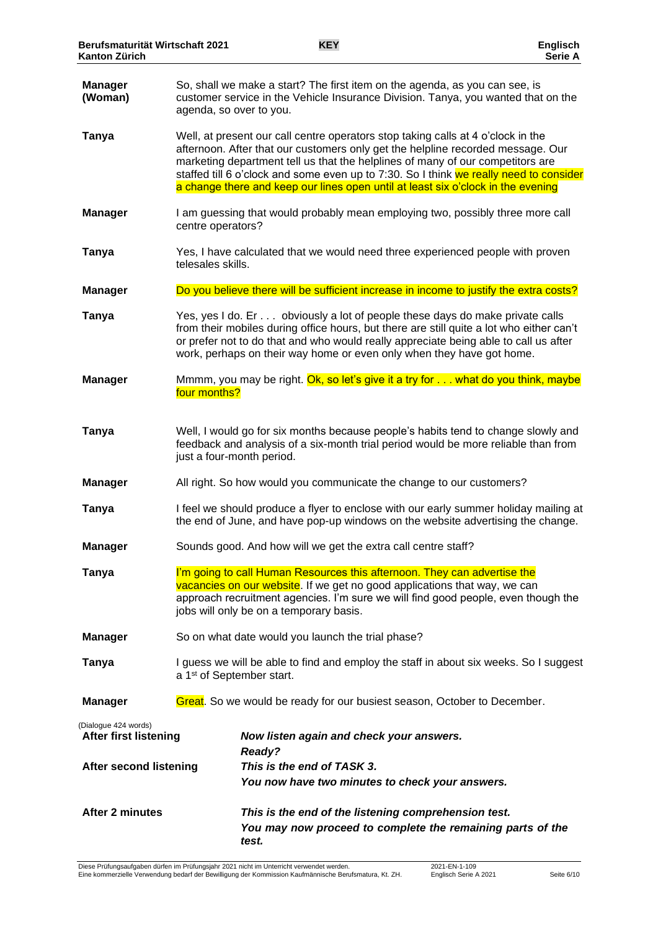| <b>Manager</b><br>(Woman)                            | So, shall we make a start? The first item on the agenda, as you can see, is<br>customer service in the Vehicle Insurance Division. Tanya, you wanted that on the<br>agenda, so over to you.                                                                                                                                                                                                                                         |  |
|------------------------------------------------------|-------------------------------------------------------------------------------------------------------------------------------------------------------------------------------------------------------------------------------------------------------------------------------------------------------------------------------------------------------------------------------------------------------------------------------------|--|
| <b>Tanya</b>                                         | Well, at present our call centre operators stop taking calls at 4 o'clock in the<br>afternoon. After that our customers only get the helpline recorded message. Our<br>marketing department tell us that the helplines of many of our competitors are<br>staffed till 6 o'clock and some even up to 7:30. So I think we really need to consider<br>a change there and keep our lines open until at least six o'clock in the evening |  |
| <b>Manager</b>                                       | I am guessing that would probably mean employing two, possibly three more call<br>centre operators?                                                                                                                                                                                                                                                                                                                                 |  |
| <b>Tanya</b>                                         | Yes, I have calculated that we would need three experienced people with proven<br>telesales skills.                                                                                                                                                                                                                                                                                                                                 |  |
| <b>Manager</b>                                       | Do you believe there will be sufficient increase in income to justify the extra costs?                                                                                                                                                                                                                                                                                                                                              |  |
| Tanya                                                | Yes, yes I do. Er obviously a lot of people these days do make private calls<br>from their mobiles during office hours, but there are still quite a lot who either can't<br>or prefer not to do that and who would really appreciate being able to call us after<br>work, perhaps on their way home or even only when they have got home.                                                                                           |  |
| <b>Manager</b>                                       | Mmmm, you may be right. Ok, so let's give it a try for what do you think, maybe<br>four months?                                                                                                                                                                                                                                                                                                                                     |  |
| <b>Tanya</b>                                         | Well, I would go for six months because people's habits tend to change slowly and<br>feedback and analysis of a six-month trial period would be more reliable than from<br>just a four-month period.                                                                                                                                                                                                                                |  |
| <b>Manager</b>                                       | All right. So how would you communicate the change to our customers?                                                                                                                                                                                                                                                                                                                                                                |  |
| <b>Tanya</b>                                         | I feel we should produce a flyer to enclose with our early summer holiday mailing at<br>the end of June, and have pop-up windows on the website advertising the change.                                                                                                                                                                                                                                                             |  |
| <b>Manager</b>                                       | Sounds good. And how will we get the extra call centre staff?                                                                                                                                                                                                                                                                                                                                                                       |  |
| Tanya                                                | I'm going to call Human Resources this afternoon. They can advertise the<br>vacancies on our website. If we get no good applications that way, we can<br>approach recruitment agencies. I'm sure we will find good people, even though the<br>jobs will only be on a temporary basis.                                                                                                                                               |  |
| <b>Manager</b>                                       | So on what date would you launch the trial phase?                                                                                                                                                                                                                                                                                                                                                                                   |  |
| Tanya                                                | I guess we will be able to find and employ the staff in about six weeks. So I suggest<br>a 1 <sup>st</sup> of September start.                                                                                                                                                                                                                                                                                                      |  |
| <b>Manager</b>                                       | Great. So we would be ready for our busiest season, October to December.                                                                                                                                                                                                                                                                                                                                                            |  |
| (Dialogue 424 words)<br><b>After first listening</b> | Now listen again and check your answers.<br>Ready?                                                                                                                                                                                                                                                                                                                                                                                  |  |
| <b>After second listening</b>                        | This is the end of TASK 3.                                                                                                                                                                                                                                                                                                                                                                                                          |  |
|                                                      | You now have two minutes to check your answers.                                                                                                                                                                                                                                                                                                                                                                                     |  |
| <b>After 2 minutes</b>                               | This is the end of the listening comprehension test.<br>You may now proceed to complete the remaining parts of the<br>test.                                                                                                                                                                                                                                                                                                         |  |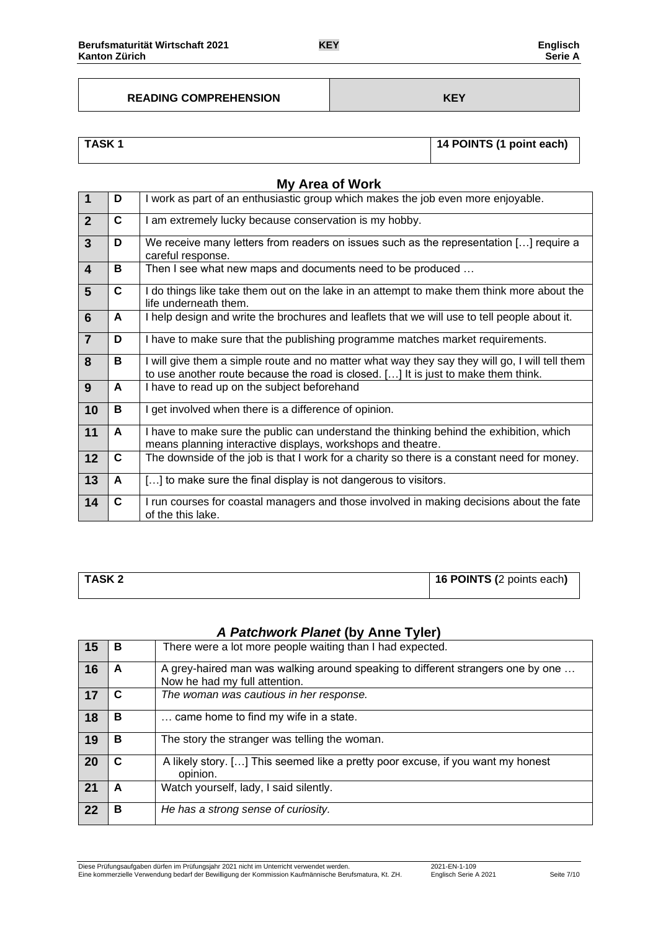#### **READING COMPREHENSION KEY**

## **TASK 1 14 POINTS (1 point each)**

|                         | <b>My Area of Work</b> |                                                                                                                                                                                      |  |  |
|-------------------------|------------------------|--------------------------------------------------------------------------------------------------------------------------------------------------------------------------------------|--|--|
| $\overline{1}$          | D                      | I work as part of an enthusiastic group which makes the job even more enjoyable.                                                                                                     |  |  |
| $\overline{2}$          | C                      | I am extremely lucky because conservation is my hobby.                                                                                                                               |  |  |
| $\overline{3}$          | D                      | We receive many letters from readers on issues such as the representation [] require a<br>careful response.                                                                          |  |  |
| $\overline{\mathbf{4}}$ | в                      | Then I see what new maps and documents need to be produced                                                                                                                           |  |  |
| 5                       | C.                     | I do things like take them out on the lake in an attempt to make them think more about the<br>life underneath them.                                                                  |  |  |
| 6                       | A                      | I help design and write the brochures and leaflets that we will use to tell people about it.                                                                                         |  |  |
| $\overline{7}$          | D                      | I have to make sure that the publishing programme matches market requirements.                                                                                                       |  |  |
| 8                       | в                      | I will give them a simple route and no matter what way they say they will go, I will tell them<br>to use another route because the road is closed. [] It is just to make them think. |  |  |
| 9                       | A                      | I have to read up on the subject beforehand                                                                                                                                          |  |  |
| 10                      | в                      | get involved when there is a difference of opinion.                                                                                                                                  |  |  |
| 11                      | A                      | I have to make sure the public can understand the thinking behind the exhibition, which<br>means planning interactive displays, workshops and theatre.                               |  |  |
| 12                      | C                      | The downside of the job is that I work for a charity so there is a constant need for money.                                                                                          |  |  |
| 13                      | A                      | [] to make sure the final display is not dangerous to visitors.                                                                                                                      |  |  |
| 14                      | C                      | I run courses for coastal managers and those involved in making decisions about the fate<br>of the this lake.                                                                        |  |  |

| TASK 2 | 16 POINTS (2 points each) |
|--------|---------------------------|
|        |                           |

# *A Patchwork Planet* **(by Anne Tyler)**

| 15 | в | There were a lot more people waiting than I had expected.                                                        |  |
|----|---|------------------------------------------------------------------------------------------------------------------|--|
| 16 | A | A grey-haired man was walking around speaking to different strangers one by one<br>Now he had my full attention. |  |
| 17 | C | The woman was cautious in her response.                                                                          |  |
| 18 | В | came home to find my wife in a state.                                                                            |  |
| 19 | в | The story the stranger was telling the woman.                                                                    |  |
| 20 | C | A likely story. [] This seemed like a pretty poor excuse, if you want my honest<br>opinion.                      |  |
| 21 | A | Watch yourself, lady, I said silently.                                                                           |  |
| 22 | в | He has a strong sense of curiosity.                                                                              |  |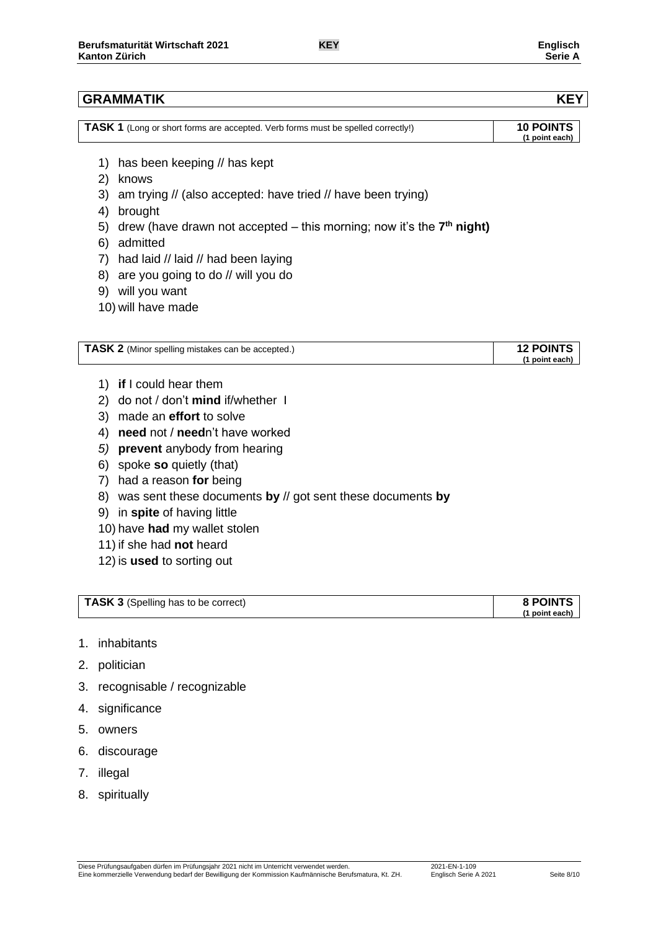## **GRAMMATIK KEY**

| TASK 1 (Long or short forms are accepted. Verb forms must be spelled correctly!) | <b>10 POINTS</b> |
|----------------------------------------------------------------------------------|------------------|
|                                                                                  | (1 point each)   |

- 1) has been keeping // has kept
- 2) knows
- 3) am trying // (also accepted: have tried // have been trying)
- 4) brought
- 5) drew (have drawn not accepted this morning; now it's the 7<sup>th</sup> night)
- 6) admitted
- 7) had laid // laid // had been laying
- 8) are you going to do // will you do
- 9) will you want
- 10) will have made

| <b>TASK 2</b> (Minor spelling mistakes can be accepted.) | <b>12 POINTS</b> |
|----------------------------------------------------------|------------------|
|                                                          | (1 point each)   |

- 1) **if** I could hear them
- 2) do not / don't **mind** if/whether I
- 3) made an **effort** to solve
- 4) **need** not / **need**n't have worked
- *5)* **prevent** anybody from hearing
- 6) spoke **so** quietly (that)
- 7) had a reason **for** being
- 8) was sent these documents **by** // got sent these documents **by**
- 9) in **spite** of having little
- 10) have **had** my wallet stolen
- 11) if she had **not** heard
- 12) is **used** to sorting out

| <b>TASK 3</b> (Spelling has to be correct) | <b>8 POINTS</b> |
|--------------------------------------------|-----------------|
|                                            | (1 point each)  |

- 1. inhabitants
- 2. politician
- 3. recognisable / recognizable
- 4. significance
- 5. owners
- 6. discourage
- 7. illegal
- 8. spiritually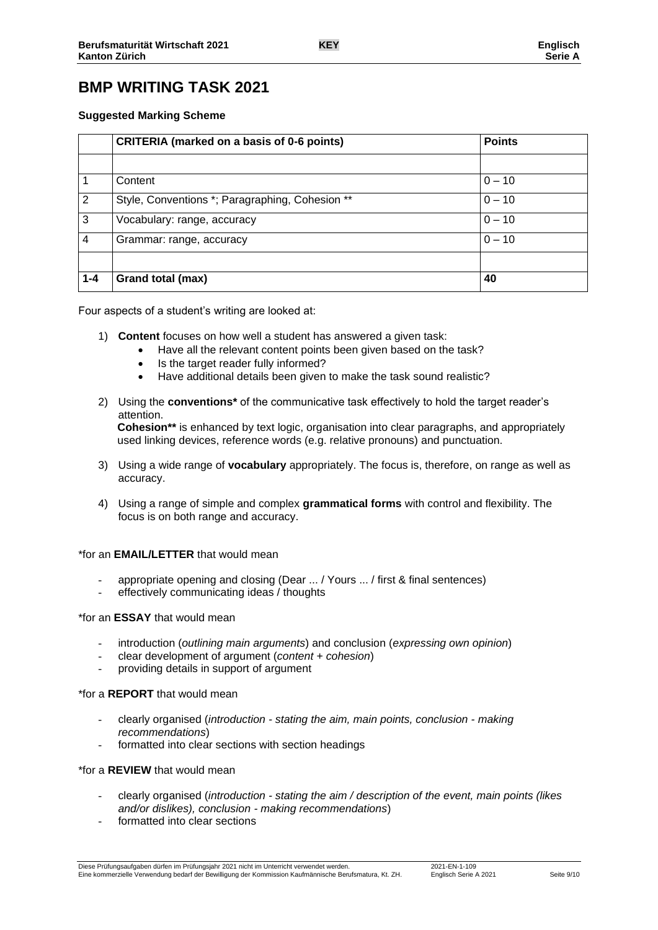# **BMP WRITING TASK 2021**

#### **Suggested Marking Scheme**

|         | <b>CRITERIA (marked on a basis of 0-6 points)</b> | <b>Points</b> |  |
|---------|---------------------------------------------------|---------------|--|
|         |                                                   |               |  |
|         | Content                                           | $0 - 10$      |  |
| 2       | Style, Conventions *; Paragraphing, Cohesion **   | $0 - 10$      |  |
| 3       | Vocabulary: range, accuracy                       | $0 - 10$      |  |
| 4       | $0 - 10$<br>Grammar: range, accuracy              |               |  |
|         |                                                   |               |  |
| $1 - 4$ | Grand total (max)                                 | 40            |  |

Four aspects of a student's writing are looked at:

- 1) **Content** focuses on how well a student has answered a given task:
	- Have all the relevant content points been given based on the task?
	- Is the target reader fully informed?
	- Have additional details been given to make the task sound realistic?
- 2) Using the **conventions\*** of the communicative task effectively to hold the target reader's attention. **Cohesion\*\*** is enhanced by text logic, organisation into clear paragraphs, and appropriately

used linking devices, reference words (e.g. relative pronouns) and punctuation.

- 3) Using a wide range of **vocabulary** appropriately. The focus is, therefore, on range as well as accuracy.
- 4) Using a range of simple and complex **grammatical forms** with control and flexibility. The focus is on both range and accuracy.

#### \*for an **EMAIL/LETTER** that would mean

- appropriate opening and closing (Dear ... / Yours ... / first & final sentences)
- effectively communicating ideas / thoughts

#### \*for an **ESSAY** that would mean

- introduction (*outlining main arguments*) and conclusion (*expressing own opinion*)
- clear development of argument (*content + cohesion*)
- providing details in support of argument

#### \*for a **REPORT** that would mean

- clearly organised (*introduction - stating the aim, main points, conclusion - making recommendations*)
- formatted into clear sections with section headings

#### \*for a **REVIEW** that would mean

- clearly organised (*introduction - stating the aim / description of the event, main points (likes and/or dislikes), conclusion - making recommendations*)
- formatted into clear sections